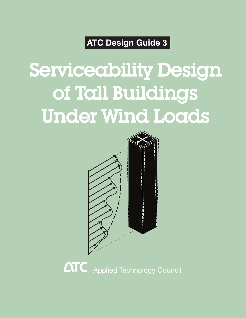### **ATC Design Guide 3**

# Serviceability Design of Tall Buildings Under Wind Loads



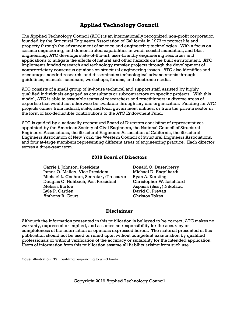The Applied Technology Council (ATC) is an internationally recognized non-profit corporation founded by the Structural Engineers Association of California in 1973 to protect life and property through the advancement of science and engineering technologies. With a focus on seismic engineering, and demonstrated capabilities in wind, coastal inundation, and blast engineering, ATC develops state-of-the-art, user-friendly engineering resources and applications to mitigate the effects of natural and other hazards on the built environment. ATC implements funded research and technology transfer projects through the development of nonproprietary consensus opinions on structural engineering issues. ATC also identifies and encourages needed research, and disseminates technological advancements through guidelines, manuals, seminars, workshops, forums, and electronic media.

ATC consists of a small group of in-house technical and support staff, assisted by highly qualified individuals engaged as consultants or subcontractors on specific projects. With this model, ATC is able to assemble teams of researchers and practitioners in diverse areas of expertise that would not otherwise be available through any one organization. Funding for ATC projects comes from federal, state, and local government entities, or from the private sector in the form of tax-deductible contributions to the ATC Endowment Fund.

ATC is guided by a nationally recognized Board of Directors consisting of representatives appointed by the American Society of Civil Engineers, the National Council of Structural Engineers Associations, the Structural Engineers Association of California, the Structural Engineers Association of New York, the Western Council of Structural Engineers Associations, and four at-large members representing different areas of engineering practice. Each director serves a three-year term.

#### **2019 Board of Directors**

Carrie J. Johnson, President James O. Malley, Vice President Michael L. Cochran, Secretary/Treasurer Douglas C. Hohbach, Past President Melissa Burton Lyle P. Carden Anthony B. Court

Donald O. Dusenberry Michael D. Engelhardt Ryan A. Kersting Christopher W. Letchford Aspasia (Sissy) Nikolaou David O. Prevatt Christos Tokas

#### **Disclaimer**

Although the information presented in this publication is believed to be correct, ATC makes no warranty, expressed or implied, and assumes no responsibility for the accuracy or completeness of the information or opinions expressed herein. The material presented in this publication should not be used or relied upon without competent examination by qualified professionals or without verification of the accuracy or suitability for the intended application. Users of information from this publication assume all liability arising from such use.

Cover illustration: Tall building responding to wind loads.

Copyright 2019 Applied Technology Council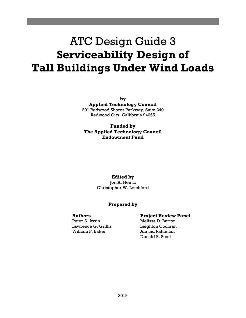### ATC Design Guide 3 **Serviceability Design of Tall Buildings Under Wind Loads**

**by Applied Technology Council** 

201 Redwood Shores Parkway, Suite 240 Redwood City, California 94065

**Funded by The Applied Technology Council Endowment Fund** 

#### **Edited by**

Jon A. Heintz Christopher W. Letchford

#### **Prepared by**

#### **Authors**

Peter A. Irwin Lawrence G. Griffis William F. Baker

#### **Project Review Panel**

Melissa D. Burton Leighton Cochran Ahmad Rahimian Donald R. Scott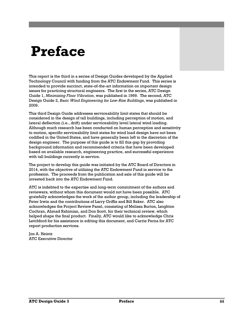## **Preface**

This report is the third in a series of Design Guides developed by the Applied Technology Council with funding from the ATC Endowment Fund. This series is intended to provide succinct, state-of-the-art information on important design issues for practicing structural engineers. The first in the series, ATC Design Guide 1, *Minimizing Floor Vibration*, was published in 1999. The second, ATC Design Guide 2, *Basic Wind Engineering for Low-Rise Buildings*, was published in 2009.

This third Design Guide addresses serviceability limit states that should be considered in the design of tall buildings, including perception of motion, and lateral deflection (i.e., drift) under serviceability level lateral wind loading. Although much research has been conducted on human perception and sensitivity to motion, specific serviceability limit states for wind load design have not been codified in the United States, and have generally been left to the discretion of the design engineer. The purpose of this guide is to fill this gap by providing background information and recommended criteria that have been developed based on available research, engineering practice, and successful experience with tall buildings currently in service.

The project to develop this guide was initiated by the ATC Board of Directors in 2014, with the objective of utilizing the ATC Endowment Fund in service to the profession. The proceeds from the publication and sale of this guide will be invested back into the ATC Endowment Fund.

ATC is indebted to the expertise and long-term commitment of the authors and reviewers, without whom this document would not have been possible. ATC gratefully acknowledges the work of the author group, including the leadership of Peter Irwin and the contributions of Larry Griffis and Bill Baker. ATC also acknowledges the Project Review Panel, consisting of Melissa Burton, Leighton Cochran, Ahmad Rahimian, and Don Scott, for their technical review, which helped shape the final product. Finally, ATC would like to acknowledge Chris Letchford for his assistance in editing this document, and Carrie Perna for ATC report production services.

Jon A. Heintz ATC Executive Director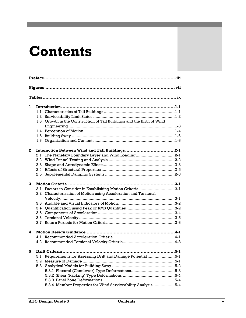### **Contents**

| 1 | 1.1.<br>1.2<br>Growth in the Construction of Tall Buildings and the Birth of Wind<br>1.3 <sub>z</sub><br>1.5<br>1.6                                       |  |  |  |  |
|---|-----------------------------------------------------------------------------------------------------------------------------------------------------------|--|--|--|--|
| 2 | The Planetary Boundary Layer and Wind Loading2-1<br>2.1<br>2.2<br>2.3<br>2.4<br>2.5                                                                       |  |  |  |  |
| 3 | Factors to Consider in Establishing Motion Criteria 3-1<br>3.1<br>Characterization of Motion using Acceleration and Torsional<br>3.2<br>3.5<br>3.6<br>3.7 |  |  |  |  |
| 4 |                                                                                                                                                           |  |  |  |  |
| 5 | Requirements for Assessing Drift and Damage Potential 5-1<br>5.1<br>5.2<br>5.3.4 Member Properties for Wind Serviceability Analysis 5-4                   |  |  |  |  |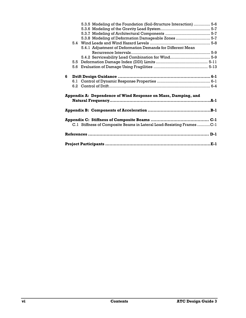|   |     | 5.3.5 Modeling of the Foundation (Soil-Structure Interaction)  5-6    |  |  |
|---|-----|-----------------------------------------------------------------------|--|--|
|   |     |                                                                       |  |  |
|   |     |                                                                       |  |  |
|   |     | 5.3.8 Modeling of Deformation Damageable Zones  5-7                   |  |  |
|   |     |                                                                       |  |  |
|   |     | 5.4.1 Adjustment of Deformation Demands for Different Mean            |  |  |
|   |     |                                                                       |  |  |
|   |     | 5.4.2 Serviceability Load Combination for Wind 5-9                    |  |  |
|   | 5.5 |                                                                       |  |  |
|   |     |                                                                       |  |  |
|   |     |                                                                       |  |  |
| 6 |     |                                                                       |  |  |
|   |     |                                                                       |  |  |
|   |     |                                                                       |  |  |
|   |     |                                                                       |  |  |
|   |     | Appendix A: Dependence of Wind Response on Mass, Damping, and         |  |  |
|   |     |                                                                       |  |  |
|   |     |                                                                       |  |  |
|   |     |                                                                       |  |  |
|   |     |                                                                       |  |  |
|   |     |                                                                       |  |  |
|   |     | C.1 Stiffness of Composite Beams in Lateral Load-Resisting Frames C-1 |  |  |
|   |     |                                                                       |  |  |
|   |     |                                                                       |  |  |
|   |     |                                                                       |  |  |
|   |     |                                                                       |  |  |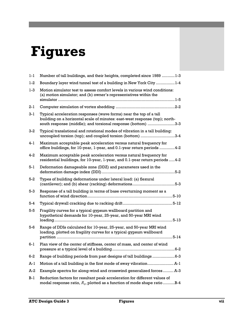# **Figures**

| $1 - 1$ | Number of tall buildings, and their heights, completed since 1989 1-3                                                                                                                                             |
|---------|-------------------------------------------------------------------------------------------------------------------------------------------------------------------------------------------------------------------|
| $1-2$   | Boundary layer wind tunnel test of a building in New York City 1-4                                                                                                                                                |
| $1 - 3$ | Motion simulator test to assess comfort levels in various wind conditions:<br>(a) motion simulator; and (b) owner's representatives within the                                                                    |
| $2 - 1$ |                                                                                                                                                                                                                   |
| $3 - 1$ | Typical acceleration responses (wave forms) near the top of a tall<br>building on a horizontal scale of minutes: east-west response (top); north-<br>south response (middle); and torsional response (bottom) 3-3 |
| 3-2     | Typical translational and rotational modes of vibration in a tall building:<br>uncoupled torsion (top); and coupled torsion (bottom) 3-4                                                                          |
| 4-1     | Maximum acceptable peak acceleration versus natural frequency for<br>office buildings, for 10-year, 1-year, and 0.1-year return periods 4-2                                                                       |
| 4-2     | Maximum acceptable peak acceleration versus natural frequency for<br>residential buildings, for 10-year, 1-year, and 0.1-year return periods  4-2                                                                 |
| 5-1     | Deformation damageable zone (DDZ) and parameters used in the                                                                                                                                                      |
| 5-2     | Types of building deformations under lateral load: (a) flexural                                                                                                                                                   |
| $5-3$   | Response of a tall building in terms of base overturning moment as a                                                                                                                                              |
| 5-4     |                                                                                                                                                                                                                   |
| $5-5$   | Fragility curves for a typical gypsum wallboard partition and<br>hypothetical demands for 10-year, 25-year, and 50-year MRI wind                                                                                  |
| $5-6$   | Range of DDIs calculated for 10-year, 25-year, and 50-year MRI wind<br>loading, plotted on fragility curves for a typical gypsum wallboard                                                                        |
| $6-1$   | Plan view of the center of stiffness, center of mass, and center of wind                                                                                                                                          |
| $6-2$   | Range of building periods from past designs of tall buildings6-3                                                                                                                                                  |
| A-1     |                                                                                                                                                                                                                   |
| A-2     | Example spectra for along-wind and crosswind generalized forces A-3                                                                                                                                               |
| $B-1$   | Reduction factors for resultant peak acceleration for different values of<br>modal response ratio, $R_q$ , plotted as a function of mode shape ratio B-4                                                          |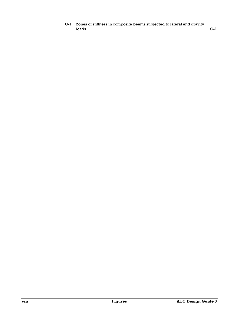| C-1 Zones of stiffness in composite beams subjected to lateral and gravity |  |
|----------------------------------------------------------------------------|--|
| $\log_{1000} C^{-1}$                                                       |  |